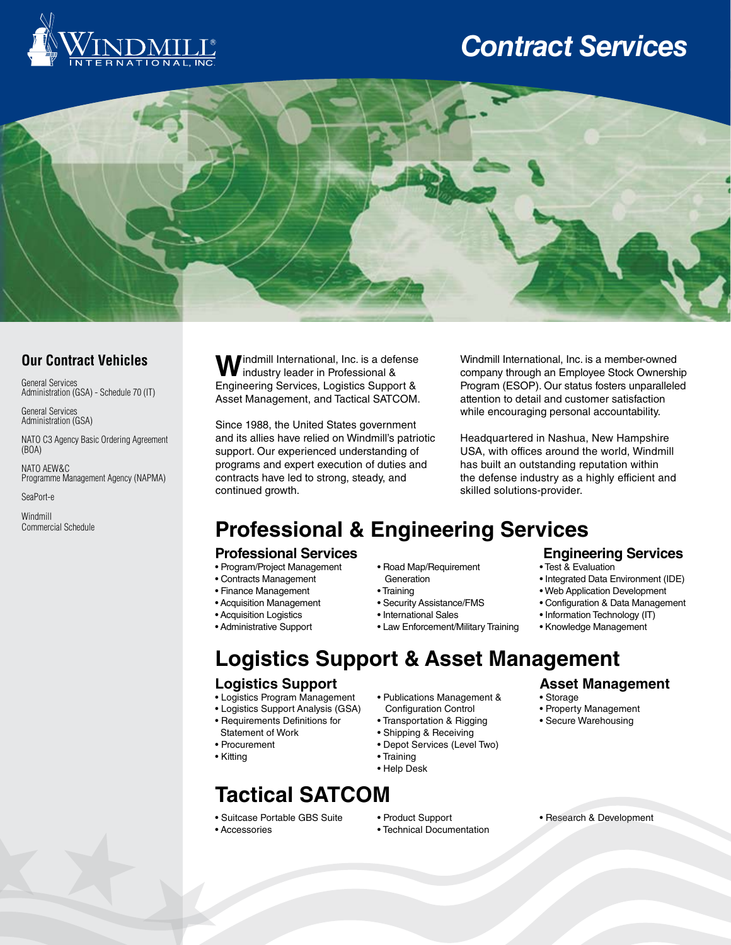

# **Contract Services**



# **Our Contract Vehicles**

General Services Administration (GSA) - Schedule 70 (IT)

General Services Administration (GSA)

NATO C3 Agency Basic Ordering Agreement (BOA)

NATO AEW&C Programme Management Agency (NAPMA)

SeaPort-e

Windmill Commercial Schedule

**W**indmill International, Inc. is a defense industry leader in Professional & Engineering Services, Logistics Support & Asset Management, and Tactical SATCOM.

Since 1988, the United States government and its allies have relied on Windmill's patriotic support. Our experienced understanding of programs and expert execution of duties and contracts have led to strong, steady, and continued growth.

Windmill International, Inc. is a member-owned company through an Employee Stock Ownership Program (ESOP). Our status fosters unparalleled attention to detail and customer satisfaction while encouraging personal accountability.

Headquartered in Nashua, New Hampshire USA, with offices around the world, Windmill has built an outstanding reputation within the defense industry as a highly efficient and skilled solutions-provider.

# **Professional & Engineering Services**

## **Professional Services**

- Program/Project Management
- Contracts Management
- Finance Management
- Acquisition Management
- Acquisition Logistics
- Administrative Support
- Road Map/Requirement **Generation**
- Training
- Security Assistance/FMS
	- International Sales
	- Law Enforcement/Military Training

#### **Engineering Services** • Test & Evaluation

- Integrated Data Environment (IDE)
- Web Application Development

**Asset Management** 

- Configuration & Data Management
- Information Technology (IT)
- Knowledge Management

• Property Management • Secure Warehousing

• Storage

# **Logistics Support & Asset Management**

## **Logistics Support**

- Logistics Program Management
- Logistics Support Analysis (GSA)
- Requirements Definitions for
- Statement of Work • Procurement
- Kitting
- **Tactical SATCOM**
- Suitcase Portable GBS Suite
- Accessories
- Publications Management & Configuration Control
- Transportation & Rigging
- Shipping & Receiving
- Depot Services (Level Two)
- Training
- Help Desk
- Product Support
	- Technical Documentation
- Research & Development
- 
-